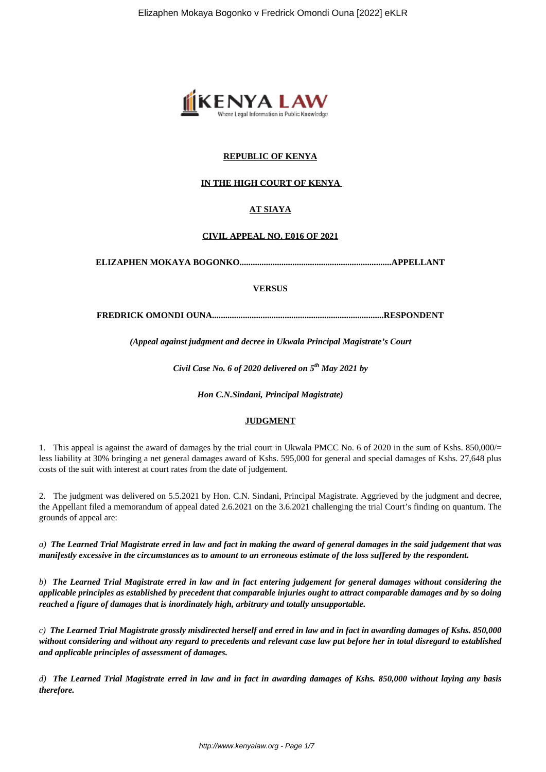

# **REPUBLIC OF KENYA**

## **IN THE HIGH COURT OF KENYA**

## **AT SIAYA**

## **CIVIL APPEAL NO. E016 OF 2021**

**ELIZAPHEN MOKAYA BOGONKO.....................................................................APPELLANT**

#### **VERSUS**

**FREDRICK OMONDI OUNA..............................................................................RESPONDENT**

*(Appeal against judgment and decree in Ukwala Principal Magistrate's Court*

*Civil Case No. 6 of 2020 delivered on 5th May 2021 by*

*Hon C.N.Sindani, Principal Magistrate)*

## **JUDGMENT**

1. This appeal is against the award of damages by the trial court in Ukwala PMCC No. 6 of 2020 in the sum of Kshs. 850,000/= less liability at 30% bringing a net general damages award of Kshs. 595,000 for general and special damages of Kshs. 27,648 plus costs of the suit with interest at court rates from the date of judgement.

2. The judgment was delivered on 5.5.2021 by Hon. C.N. Sindani, Principal Magistrate. Aggrieved by the judgment and decree, the Appellant filed a memorandum of appeal dated 2.6.2021 on the 3.6.2021 challenging the trial Court's finding on quantum. The grounds of appeal are:

*a) The Learned Trial Magistrate erred in law and fact in making the award of general damages in the said judgement that was manifestly excessive in the circumstances as to amount to an erroneous estimate of the loss suffered by the respondent.*

*b) The Learned Trial Magistrate erred in law and in fact entering judgement for general damages without considering the applicable principles as established by precedent that comparable injuries ought to attract comparable damages and by so doing reached a figure of damages that is inordinately high, arbitrary and totally unsupportable.*

*c) The Learned Trial Magistrate grossly misdirected herself and erred in law and in fact in awarding damages of Kshs. 850,000 without considering and without any regard to precedents and relevant case law put before her in total disregard to established and applicable principles of assessment of damages.*

*d) The Learned Trial Magistrate erred in law and in fact in awarding damages of Kshs. 850,000 without laying any basis therefore.*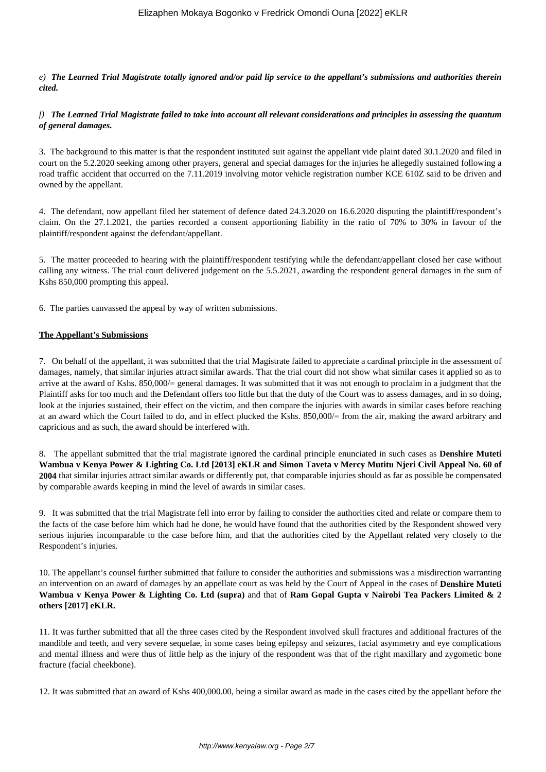*e) The Learned Trial Magistrate totally ignored and/or paid lip service to the appellant's submissions and authorities therein cited.*

*f) The Learned Trial Magistrate failed to take into account all relevant considerations and principles in assessing the quantum of general damages.*

3. The background to this matter is that the respondent instituted suit against the appellant vide plaint dated 30.1.2020 and filed in court on the 5.2.2020 seeking among other prayers, general and special damages for the injuries he allegedly sustained following a road traffic accident that occurred on the 7.11.2019 involving motor vehicle registration number KCE 610Z said to be driven and owned by the appellant.

4. The defendant, now appellant filed her statement of defence dated 24.3.2020 on 16.6.2020 disputing the plaintiff/respondent's claim. On the 27.1.2021, the parties recorded a consent apportioning liability in the ratio of 70% to 30% in favour of the plaintiff/respondent against the defendant/appellant.

5. The matter proceeded to hearing with the plaintiff/respondent testifying while the defendant/appellant closed her case without calling any witness. The trial court delivered judgement on the 5.5.2021, awarding the respondent general damages in the sum of Kshs 850,000 prompting this appeal.

6. The parties canvassed the appeal by way of written submissions.

#### **The Appellant's Submissions**

7. On behalf of the appellant, it was submitted that the trial Magistrate failed to appreciate a cardinal principle in the assessment of damages, namely, that similar injuries attract similar awards. That the trial court did not show what similar cases it applied so as to arrive at the award of Kshs. 850,000/= general damages. It was submitted that it was not enough to proclaim in a judgment that the Plaintiff asks for too much and the Defendant offers too little but that the duty of the Court was to assess damages, and in so doing, look at the injuries sustained, their effect on the victim, and then compare the injuries with awards in similar cases before reaching at an award which the Court failed to do, and in effect plucked the Kshs. 850,000/= from the air, making the award arbitrary and capricious and as such, the award should be interfered with.

8. The appellant submitted that the trial magistrate ignored the cardinal principle enunciated in such cases as **Denshire Muteti Wambua v Kenya Power & Lighting Co. Ltd [2013] eKLR and Simon Taveta v Mercy Mutitu Njeri Civil Appeal No. 60 of 2004** that similar injuries attract similar awards or differently put, that comparable injuries should as far as possible be compensated by comparable awards keeping in mind the level of awards in similar cases.

9. It was submitted that the trial Magistrate fell into error by failing to consider the authorities cited and relate or compare them to the facts of the case before him which had he done, he would have found that the authorities cited by the Respondent showed very serious injuries incomparable to the case before him, and that the authorities cited by the Appellant related very closely to the Respondent's injuries.

10. The appellant's counsel further submitted that failure to consider the authorities and submissions was a misdirection warranting an intervention on an award of damages by an appellate court as was held by the Court of Appeal in the cases of **Denshire Muteti Wambua v Kenya Power & Lighting Co. Ltd (supra)** and that of **Ram Gopal Gupta v Nairobi Tea Packers Limited & 2 others [2017] eKLR.** 

11. It was further submitted that all the three cases cited by the Respondent involved skull fractures and additional fractures of the mandible and teeth, and very severe sequelae, in some cases being epilepsy and seizures, facial asymmetry and eye complications and mental illness and were thus of little help as the injury of the respondent was that of the right maxillary and zygometic bone fracture (facial cheekbone).

12. It was submitted that an award of Kshs 400,000.00, being a similar award as made in the cases cited by the appellant before the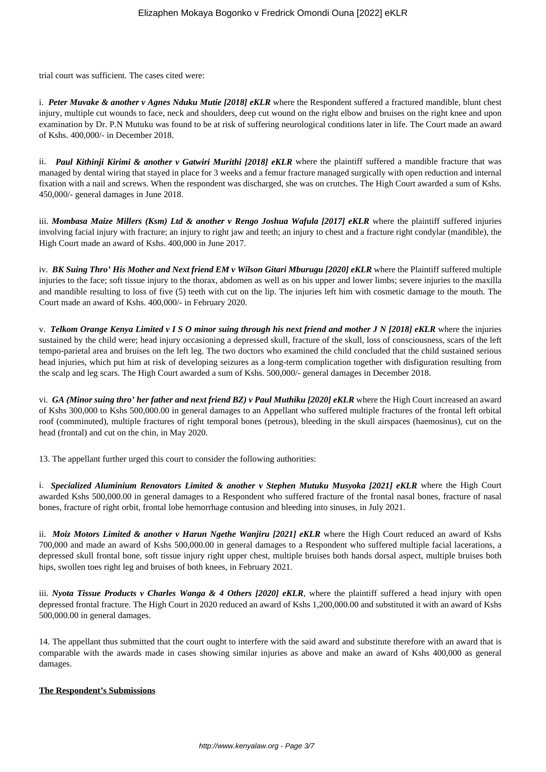trial court was sufficient. The cases cited were:

i. Peter Muvake & another v Agnes Nduku Mutie [2018] eKLR where the Respondent suffered a fractured mandible, blunt chest injury, multiple cut wounds to face, neck and shoulders, deep cut wound on the right elbow and bruises on the right knee and upon examination by Dr. P.N Mutuku was found to be at risk of suffering neurological conditions later in life. The Court made an award of Kshs. 400,000/- in December 2018.

ii. **Paul Kithinji Kirimi & another v Gatwiri Murithi [2018] eKLR** where the plaintiff suffered a mandible fracture that was managed by dental wiring that stayed in place for 3 weeks and a femur fracture managed surgically with open reduction and internal fixation with a nail and screws. When the respondent was discharged, she was on crutches. The High Court awarded a sum of Kshs. 450,000/- general damages in June 2018.

iii. *Mombasa Maize Millers (Ksm) Ltd & another v Rengo Joshua Wafula [2017] eKLR* where the plaintiff suffered injuries involving facial injury with fracture; an injury to right jaw and teeth; an injury to chest and a fracture right condylar (mandible), the High Court made an award of Kshs. 400,000 in June 2017.

iv. *BK Suing Thro' His Mother and Next friend EM v Wilson Gitari Mburugu [2020] eKLR* where the Plaintiff suffered multiple injuries to the face; soft tissue injury to the thorax, abdomen as well as on his upper and lower limbs; severe injuries to the maxilla and mandible resulting to loss of five (5) teeth with cut on the lip. The injuries left him with cosmetic damage to the mouth. The Court made an award of Kshs. 400,000/- in February 2020.

v. *Telkom Orange Kenya Limited v I S O minor suing through his next friend and mother J N [2018] eKLR* where the injuries sustained by the child were; head injury occasioning a depressed skull, fracture of the skull, loss of consciousness, scars of the left tempo-parietal area and bruises on the left leg. The two doctors who examined the child concluded that the child sustained serious head injuries, which put him at risk of developing seizures as a long-term complication together with disfiguration resulting from the scalp and leg scars. The High Court awarded a sum of Kshs. 500,000/- general damages in December 2018.

vi. *GA (Minor suing thro' her father and next friend BZ) v Paul Muthiku [2020] eKLR* where the High Court increased an award of Kshs 300,000 to Kshs 500,000.00 in general damages to an Appellant who suffered multiple fractures of the frontal left orbital roof (comminuted), multiple fractures of right temporal bones (petrous), bleeding in the skull airspaces (haemosinus), cut on the head (frontal) and cut on the chin, in May 2020.

13. The appellant further urged this court to consider the following authorities:

i. *Specialized Aluminium Renovators Limited & another v Stephen Mutuku Musyoka [2021] eKLR* where the High Court awarded Kshs 500,000.00 in general damages to a Respondent who suffered fracture of the frontal nasal bones, fracture of nasal bones, fracture of right orbit, frontal lobe hemorrhage contusion and bleeding into sinuses, in July 2021.

ii. *Moiz Motors Limited & another v Harun Ngethe Wanjiru [2021] eKLR* where the High Court reduced an award of Kshs 700,000 and made an award of Kshs 500,000.00 in general damages to a Respondent who suffered multiple facial lacerations, a depressed skull frontal bone, soft tissue injury right upper chest, multiple bruises both hands dorsal aspect, multiple bruises both hips, swollen toes right leg and bruises of both knees, in February 2021.

iii. *Nyota Tissue Products v Charles Wanga & 4 Others [2020] eKLR*, where the plaintiff suffered a head injury with open depressed frontal fracture. The High Court in 2020 reduced an award of Kshs 1,200,000.00 and substituted it with an award of Kshs 500,000.00 in general damages.

14. The appellant thus submitted that the court ought to interfere with the said award and substitute therefore with an award that is comparable with the awards made in cases showing similar injuries as above and make an award of Kshs 400,000 as general damages.

## **The Respondent's Submissions**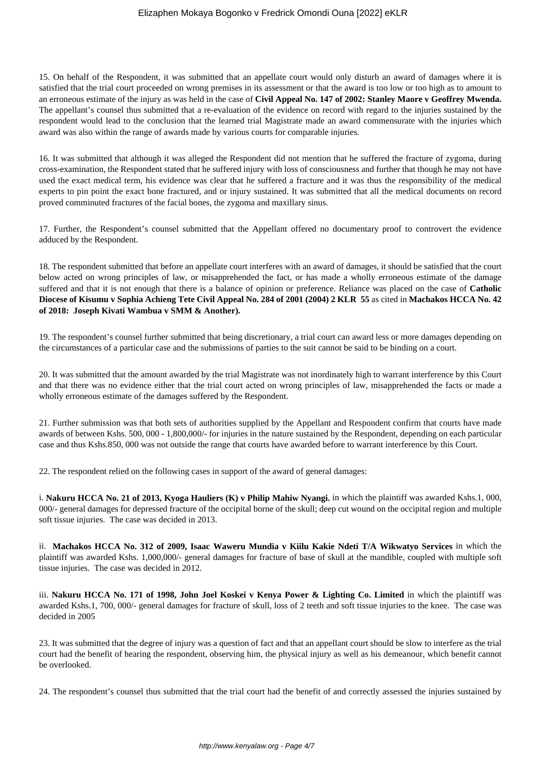15. On behalf of the Respondent, it was submitted that an appellate court would only disturb an award of damages where it is satisfied that the trial court proceeded on wrong premises in its assessment or that the award is too low or too high as to amount to an erroneous estimate of the injury as was held in the case of **Civil Appeal No. 147 of 2002: Stanley Maore v Geoffrey Mwenda.** The appellant's counsel thus submitted that a re-evaluation of the evidence on record with regard to the injuries sustained by the respondent would lead to the conclusion that the learned trial Magistrate made an award commensurate with the injuries which award was also within the range of awards made by various courts for comparable injuries.

16. It was submitted that although it was alleged the Respondent did not mention that he suffered the fracture of zygoma, during cross-examination, the Respondent stated that he suffered injury with loss of consciousness and further that though he may not have used the exact medical term, his evidence was clear that he suffered a fracture and it was thus the responsibility of the medical experts to pin point the exact bone fractured, and or injury sustained. It was submitted that all the medical documents on record proved comminuted fractures of the facial bones, the zygoma and maxillary sinus.

17. Further, the Respondent's counsel submitted that the Appellant offered no documentary proof to controvert the evidence adduced by the Respondent.

18. The respondent submitted that before an appellate court interferes with an award of damages, it should be satisfied that the court below acted on wrong principles of law, or misapprehended the fact, or has made a wholly erroneous estimate of the damage suffered and that it is not enough that there is a balance of opinion or preference. Reliance was placed on the case of **Catholic Diocese of Kisumu v Sophia Achieng Tete Civil Appeal No. 284 of 2001 (2004) 2 KLR 55** as cited in **Machakos HCCA No. 42 of 2018: Joseph Kivati Wambua v SMM & Another).** 

19. The respondent's counsel further submitted that being discretionary, a trial court can award less or more damages depending on the circumstances of a particular case and the submissions of parties to the suit cannot be said to be binding on a court.

20. It was submitted that the amount awarded by the trial Magistrate was not inordinately high to warrant interference by this Court and that there was no evidence either that the trial court acted on wrong principles of law, misapprehended the facts or made a wholly erroneous estimate of the damages suffered by the Respondent.

21. Further submission was that both sets of authorities supplied by the Appellant and Respondent confirm that courts have made awards of between Kshs. 500, 000 - 1,800,000/- for injuries in the nature sustained by the Respondent, depending on each particular case and thus Kshs.850, 000 was not outside the range that courts have awarded before to warrant interference by this Court.

22. The respondent relied on the following cases in support of the award of general damages:

i. **Nakuru HCCA No. 21 of 2013, Kyoga Hauliers (K) v Philip Mahiw Nyangi**, in which the plaintiff was awarded Kshs.1, 000, 000/- general damages for depressed fracture of the occipital borne of the skull; deep cut wound on the occipital region and multiple soft tissue injuries. The case was decided in 2013.

ii. **Machakos HCCA No. 312 of 2009, Isaac Waweru Mundia v Kiilu Kakie Ndeti T/A Wikwatyo Services** in which the plaintiff was awarded Kshs. 1,000,000/- general damages for fracture of base of skull at the mandible, coupled with multiple soft tissue injuries. The case was decided in 2012.

iii. **Nakuru HCCA No. 171 of 1998, John Joel Koskei v Kenya Power & Lighting Co. Limited** in which the plaintiff was awarded Kshs.1, 700, 000/- general damages for fracture of skull, loss of 2 teeth and soft tissue injuries to the knee. The case was decided in 2005

23. It was submitted that the degree of injury was a question of fact and that an appellant court should be slow to interfere as the trial court had the benefit of hearing the respondent, observing him, the physical injury as well as his demeanour, which benefit cannot be overlooked.

24. The respondent's counsel thus submitted that the trial court had the benefit of and correctly assessed the injuries sustained by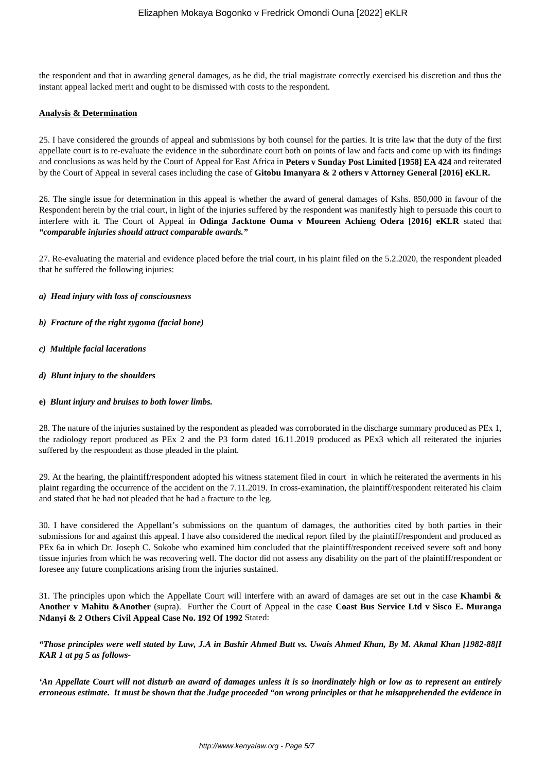the respondent and that in awarding general damages, as he did, the trial magistrate correctly exercised his discretion and thus the instant appeal lacked merit and ought to be dismissed with costs to the respondent.

## **Analysis & Determination**

25. I have considered the grounds of appeal and submissions by both counsel for the parties. It is trite law that the duty of the first appellate court is to re-evaluate the evidence in the subordinate court both on points of law and facts and come up with its findings and conclusions as was held by the Court of Appeal for East Africa in **Peters v Sunday Post Limited [1958] EA 424** and reiterated by the Court of Appeal in several cases including the case of **Gitobu Imanyara & 2 others v Attorney General [2016] eKLR.**

26. The single issue for determination in this appeal is whether the award of general damages of Kshs. 850,000 in favour of the Respondent herein by the trial court, in light of the injuries suffered by the respondent was manifestly high to persuade this court to interfere with it. The Court of Appeal in **Odinga Jacktone Ouma v Moureen Achieng Odera [2016] eKLR** stated that *"comparable injuries should attract comparable awards."*

27. Re-evaluating the material and evidence placed before the trial court, in his plaint filed on the 5.2.2020, the respondent pleaded that he suffered the following injuries:

## *a) Head injury with loss of consciousness*

- *b) Fracture of the right zygoma (facial bone)*
- *c) Multiple facial lacerations*
- *d) Blunt injury to the shoulders*
- **e)** *Blunt injury and bruises to both lower limbs.*

28. The nature of the injuries sustained by the respondent as pleaded was corroborated in the discharge summary produced as PEx 1, the radiology report produced as PEx 2 and the P3 form dated 16.11.2019 produced as PEx3 which all reiterated the injuries suffered by the respondent as those pleaded in the plaint.

29. At the hearing, the plaintiff/respondent adopted his witness statement filed in court in which he reiterated the averments in his plaint regarding the occurrence of the accident on the 7.11.2019. In cross-examination, the plaintiff/respondent reiterated his claim and stated that he had not pleaded that he had a fracture to the leg.

30. I have considered the Appellant's submissions on the quantum of damages, the authorities cited by both parties in their submissions for and against this appeal. I have also considered the medical report filed by the plaintiff/respondent and produced as PEx 6a in which Dr. Joseph C. Sokobe who examined him concluded that the plaintiff/respondent received severe soft and bony tissue injuries from which he was recovering well. The doctor did not assess any disability on the part of the plaintiff/respondent or foresee any future complications arising from the injuries sustained.

31. The principles upon which the Appellate Court will interfere with an award of damages are set out in the case **Khambi & Another v Mahitu &Another** (supra). Further the Court of Appeal in the case **Coast Bus Service Ltd v Sisco E. Muranga Ndanyi & 2 Others Civil Appeal Case No. 192 Of 1992** Stated:

*"Those principles were well stated by Law, J.A in Bashir Ahmed Butt vs. Uwais Ahmed Khan, By M. Akmal Khan [1982-88]I KAR 1 at pg 5 as follows-*

*'An Appellate Court will not disturb an award of damages unless it is so inordinately high or low as to represent an entirely erroneous estimate. It must be shown that the Judge proceeded "on wrong principles or that he misapprehended the evidence in*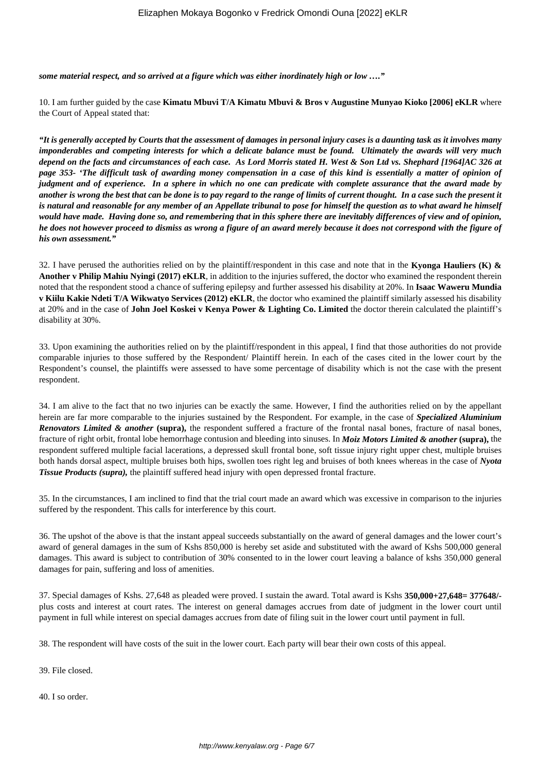*some material respect, and so arrived at a figure which was either inordinately high or low …."*

10. I am further guided by the case **Kimatu Mbuvi T/A Kimatu Mbuvi & Bros v Augustine Munyao Kioko [2006] eKLR** where the Court of Appeal stated that:

*"It is generally accepted by Courts that the assessment of damages in personal injury cases is a daunting task as it involves many imponderables and competing interests for which a delicate balance must be found. Ultimately the awards will very much depend on the facts and circumstances of each case. As Lord Morris stated H. West & Son Ltd vs. Shephard [1964]AC 326 at page 353- 'The difficult task of awarding money compensation in a case of this kind is essentially a matter of opinion of judgment and of experience. In a sphere in which no one can predicate with complete assurance that the award made by another is wrong the best that can be done is to pay regard to the range of limits of current thought. In a case such the present it is natural and reasonable for any member of an Appellate tribunal to pose for himself the question as to what award he himself would have made. Having done so, and remembering that in this sphere there are inevitably differences of view and of opinion, he does not however proceed to dismiss as wrong a figure of an award merely because it does not correspond with the figure of his own assessment."*

32. I have perused the authorities relied on by the plaintiff/respondent in this case and note that in the **Kyonga Hauliers (K) & Another v Philip Mahiu Nyingi (2017) eKLR**, in addition to the injuries suffered, the doctor who examined the respondent therein noted that the respondent stood a chance of suffering epilepsy and further assessed his disability at 20%. In **Isaac Waweru Mundia v Kiilu Kakie Ndeti T/A Wikwatyo Services (2012) eKLR**, the doctor who examined the plaintiff similarly assessed his disability at 20% and in the case of **John Joel Koskei v Kenya Power & Lighting Co. Limited** the doctor therein calculated the plaintiff's disability at 30%.

33. Upon examining the authorities relied on by the plaintiff/respondent in this appeal, I find that those authorities do not provide comparable injuries to those suffered by the Respondent/ Plaintiff herein. In each of the cases cited in the lower court by the Respondent's counsel, the plaintiffs were assessed to have some percentage of disability which is not the case with the present respondent.

34. I am alive to the fact that no two injuries can be exactly the same. However, I find the authorities relied on by the appellant herein are far more comparable to the injuries sustained by the Respondent. For example, in the case of *Specialized Aluminium Renovators Limited & another* **(supra),** the respondent suffered a fracture of the frontal nasal bones, fracture of nasal bones, fracture of right orbit, frontal lobe hemorrhage contusion and bleeding into sinuses. In *Moiz Motors Limited & another* **(supra),** the respondent suffered multiple facial lacerations, a depressed skull frontal bone, soft tissue injury right upper chest, multiple bruises both hands dorsal aspect, multiple bruises both hips, swollen toes right leg and bruises of both knees whereas in the case of *Nyota Tissue Products (supra),* the plaintiff suffered head injury with open depressed frontal fracture.

35. In the circumstances, I am inclined to find that the trial court made an award which was excessive in comparison to the injuries suffered by the respondent. This calls for interference by this court.

36. The upshot of the above is that the instant appeal succeeds substantially on the award of general damages and the lower court's award of general damages in the sum of Kshs 850,000 is hereby set aside and substituted with the award of Kshs 500,000 general damages. This award is subject to contribution of 30% consented to in the lower court leaving a balance of kshs 350,000 general damages for pain, suffering and loss of amenities.

37. Special damages of Kshs. 27,648 as pleaded were proved. I sustain the award. Total award is Kshs **350,000+27,648= 377648/** plus costs and interest at court rates. The interest on general damages accrues from date of judgment in the lower court until payment in full while interest on special damages accrues from date of filing suit in the lower court until payment in full.

38. The respondent will have costs of the suit in the lower court. Each party will bear their own costs of this appeal.

39. File closed.

40. I so order.